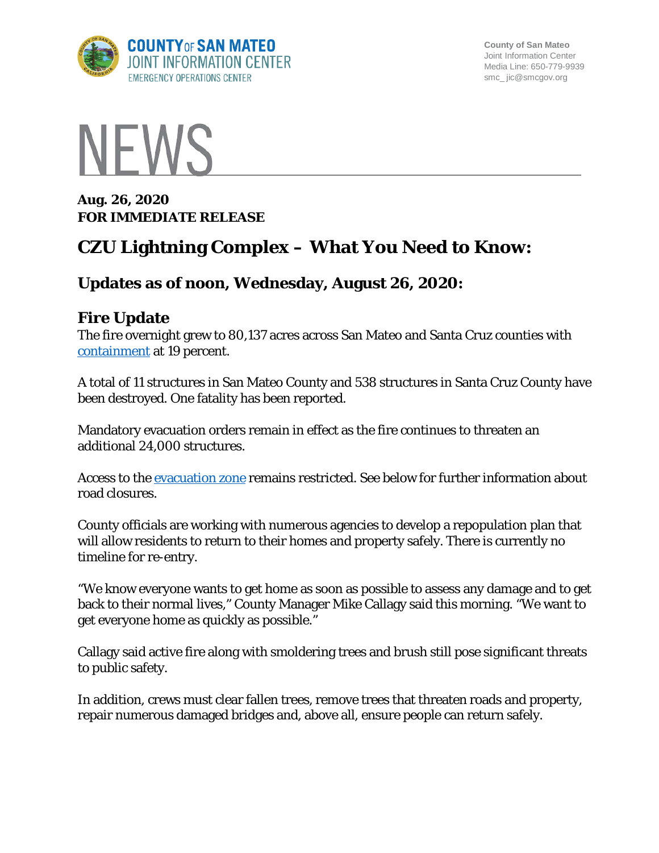

**County of San Mateo** Joint Information Center Media Line: 650-779-9939 smc\_ jic@smcgov.org



**Aug. 26, 2020 FOR IMMEDIATE RELEASE** 

# **CZU Lightning Complex – What You Need to Know:**

# **Updates as of noon, Wednesday, August 26, 2020:**

# **Fire Update**

The fire overnight grew to 80,137 acres across San Mateo and Santa Cruz counties with [containment](https://www.fire.ca.gov/media/4938/fireterminology.pdf) at 19 percent.

A total of 11 structures in San Mateo County and 538 structures in Santa Cruz County have been destroyed. One fatality has been reported.

Mandatory evacuation orders remain in effect as the fire continues to threaten an additional 24,000 structures.

Access to the [evacuation zone](https://storymaps.arcgis.com/stories/f0121f7f2f0941afb3ed70529b2cee75) remains restricted. See below for further information about road closures.

County officials are working with numerous agencies to develop a repopulation plan that will allow residents to return to their homes and property safely. There is currently no timeline for re-entry.

"We know everyone wants to get home as soon as possible to assess any damage and to get back to their normal lives," County Manager Mike Callagy said this morning. "We want to get everyone home as quickly as possible."

Callagy said active fire along with smoldering trees and brush still pose significant threats to public safety.

In addition, crews must clear fallen trees, remove trees that threaten roads and property, repair numerous damaged bridges and, above all, ensure people can return safely.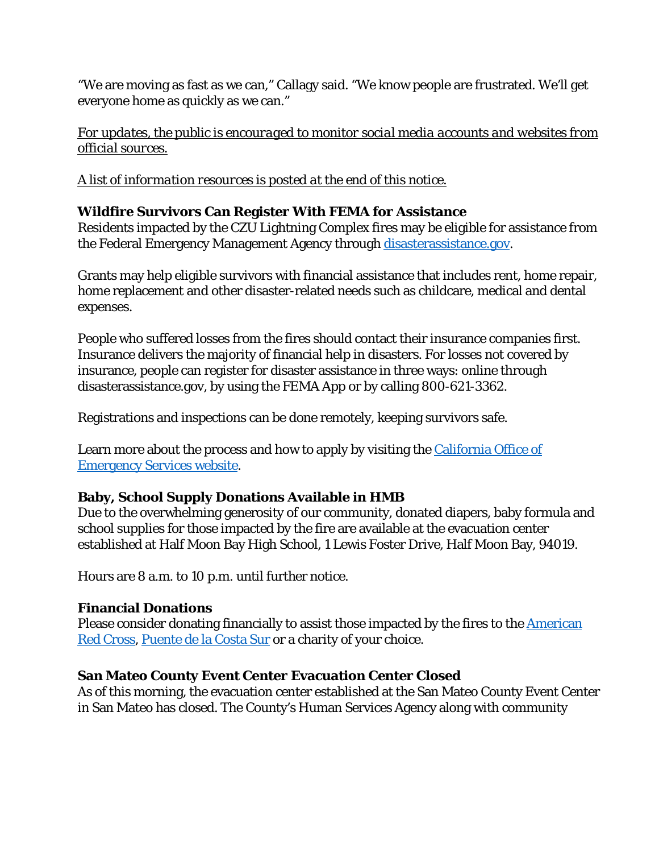"We are moving as fast as we can," Callagy said. "We know people are frustrated. We'll get everyone home as quickly as we can."

*For updates, the public is encouraged to monitor social media accounts and websites from official sources.* 

*A list of information resources is posted at the end of this notice.*

## **Wildfire Survivors Can Register With FEMA for Assistance**

Residents impacted by the CZU Lightning Complex fires may be eligible for assistance from the Federal Emergency Management Agency through disasterassistance.gov.

Grants may help eligible survivors with financial assistance that includes rent, home repair, home replacement and other disaster-related needs such as childcare, medical and dental expenses.

People who suffered losses from the fires should contact their insurance companies first. Insurance delivers the majority of financial help in disasters. For losses not covered by insurance, people can register for disaster assistance in three ways: online through disasterassistance.gov, by using the FEMA App or by calling 800-621-3362.

Registrations and inspections can be done remotely, keeping survivors safe.

Learn more about the process and how to apply by visiting the California Office of [Emergency Services website.](http://www.oesnews.com/register-with-fema0820/)

### **Baby, School Supply Donations Available in HMB**

Due to the overwhelming generosity of our community, donated diapers, baby formula and school supplies for those impacted by the fire are available at the evacuation center established at Half Moon Bay High School, 1 Lewis Foster Drive, Half Moon Bay, 94019.

Hours are 8 a.m. to 10 p.m. until further notice.

### **Financial Donations**

Please consider donating financially to assist those impacted by the fires to the American [Red Cross,](https://www.redcross.org/local/california/northern-california-coastal/about-us/locations/bay-area.html) [Puente de la Costa Sur](https://donatenow.networkforgood.org/puente) or a charity of your choice.

### **San Mateo County Event Center Evacuation Center Closed**

As of this morning, the evacuation center established at the San Mateo County Event Center in San Mateo has closed. The County's Human Services Agency along with community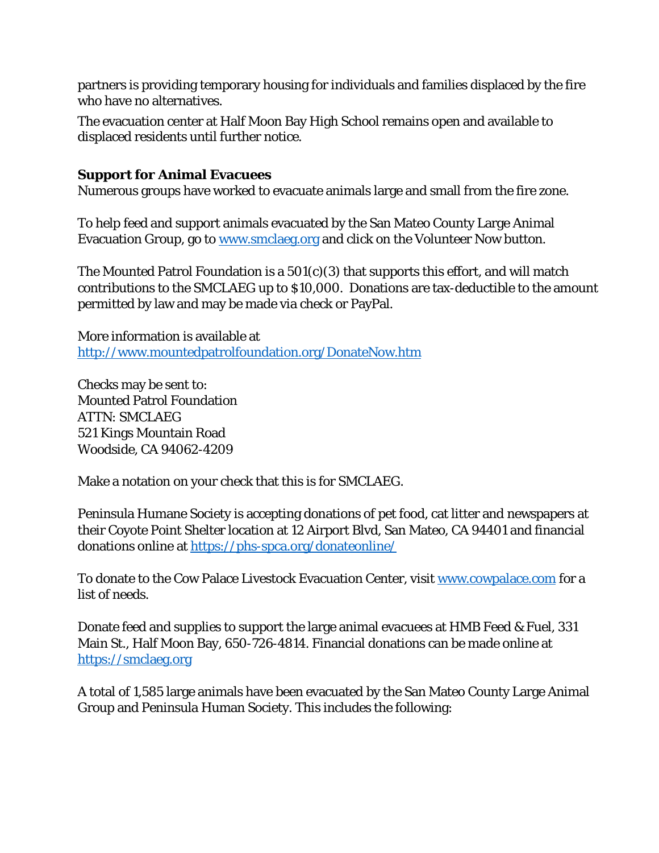partners is providing temporary housing for individuals and families displaced by the fire who have no alternatives.

The evacuation center at Half Moon Bay High School remains open and available to displaced residents until further notice.

#### **Support for Animal Evacuees**

Numerous groups have worked to evacuate animals large and small from the fire zone.

To help feed and support animals evacuated by the San Mateo County Large Animal Evacuation Group, go to [www.smclaeg.org](http://www.smclaeg.org/) and click on the Volunteer Now button.

The Mounted Patrol Foundation is a  $501(c)(3)$  that supports this effort, and will match contributions to the SMCLAEG up to \$10,000. Donations are tax-deductible to the amount permitted by law and may be made via check or PayPal.

More information is available at <http://www.mountedpatrolfoundation.org/DonateNow.htm>

Checks may be sent to: Mounted Patrol Foundation ATTN: SMCLAEG 521 Kings Mountain Road Woodside, CA 94062-4209

Make a notation on your check that this is for SMCLAEG.

Peninsula Humane Society is accepting donations of pet food, cat litter and newspapers at their Coyote Point Shelter location at 12 Airport Blvd, San Mateo, CA 94401 and financial donations online at<https://phs-spca.org/donateonline/>

To donate to the Cow Palace Livestock Evacuation Center, visit [www.cowpalace.com](http://www.cowpalace.com/) for a list of needs.

Donate feed and supplies to support the large animal evacuees at HMB Feed & Fuel, 331 Main St., Half Moon Bay, 650-726-4814. Financial donations can be made online at [https://smclaeg.org](https://smclaeg.org/)

A total of 1,585 large animals have been evacuated by the San Mateo County Large Animal Group and Peninsula Human Society. This includes the following: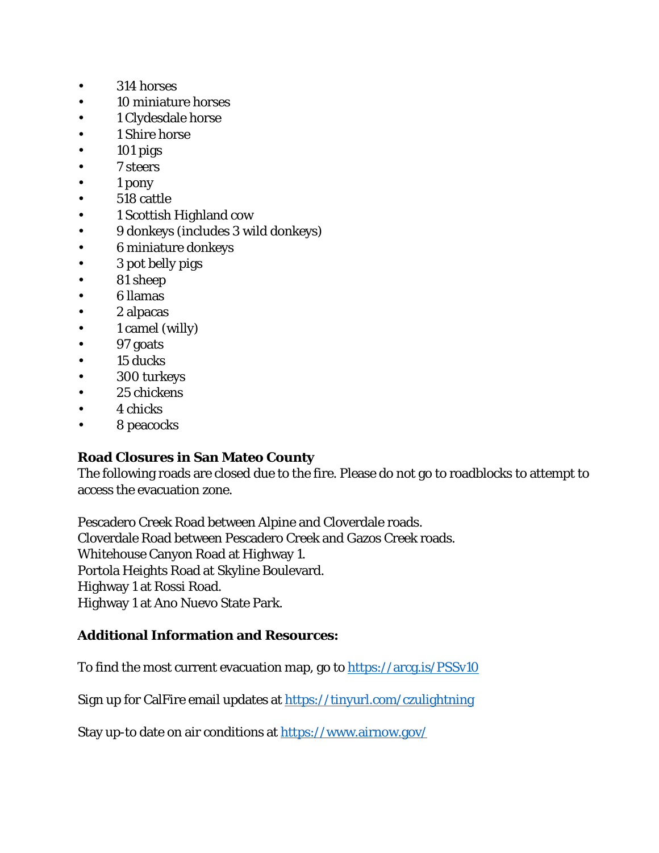- 314 horses
- 10 miniature horses
- 1 Clydesdale horse
- 1 Shire horse
- $\cdot$  101 pigs
- 7 steers
- 1 pony
- 518 cattle
- 1 Scottish Highland cow
- 9 donkeys (includes 3 wild donkeys)
- 6 miniature donkeys
- 3 pot belly pigs
- 81 sheep
- 6 llamas
- 2 alpacas
- 1 camel (willy)
- 97 goats
- 15 ducks
- 300 turkeys
- 25 chickens
- 4 chicks
- 8 peacocks

#### **Road Closures in San Mateo County**

The following roads are closed due to the fire. Please do not go to roadblocks to attempt to access the evacuation zone.

Pescadero Creek Road between Alpine and Cloverdale roads. Cloverdale Road between Pescadero Creek and Gazos Creek roads. Whitehouse Canyon Road at Highway 1. Portola Heights Road at Skyline Boulevard. Highway 1 at Rossi Road. Highway 1 at Ano Nuevo State Park.

#### **Additional Information and Resources:**

To find the most current evacuation map, go to<https://arcg.is/PSSv10>

Sign up for CalFire email updates at<https://tinyurl.com/czulightning>

Stay up-to date on air conditions at<https://www.airnow.gov/>